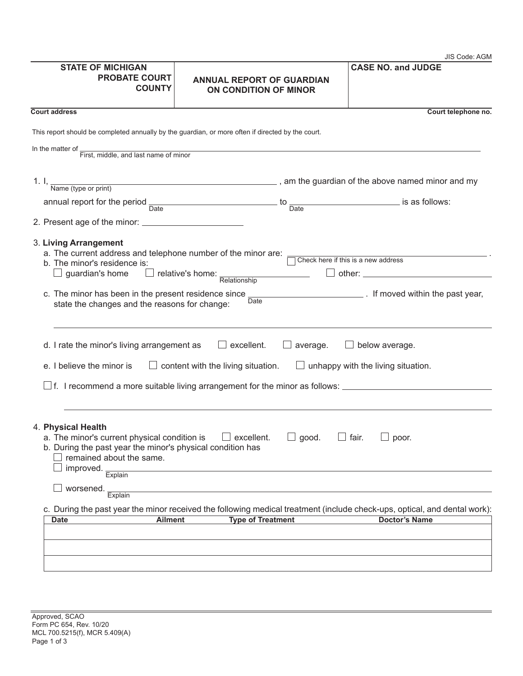|                                                                                                                                                                                                                                 |                                                                                                                                                       | JIS Code: AGM                                                                                                   |
|---------------------------------------------------------------------------------------------------------------------------------------------------------------------------------------------------------------------------------|-------------------------------------------------------------------------------------------------------------------------------------------------------|-----------------------------------------------------------------------------------------------------------------|
| <b>STATE OF MICHIGAN</b><br><b>PROBATE COURT</b><br><b>COUNTY</b>                                                                                                                                                               | <b>ANNUAL REPORT OF GUARDIAN</b><br>ON CONDITION OF MINOR                                                                                             | <b>CASE NO. and JUDGE</b>                                                                                       |
| <b>Court address</b>                                                                                                                                                                                                            |                                                                                                                                                       | Court telephone no.                                                                                             |
| This report should be completed annually by the guardian, or more often if directed by the court.                                                                                                                               |                                                                                                                                                       |                                                                                                                 |
|                                                                                                                                                                                                                                 | <u> 1989 - Johann Stein, mars an de Brasilia (b. 1989)</u>                                                                                            |                                                                                                                 |
| In the matter of First, middle, and last name of minor                                                                                                                                                                          |                                                                                                                                                       |                                                                                                                 |
|                                                                                                                                                                                                                                 | 1. I, $\frac{1}{\text{Name (type or print)}}$ , am the guardian of the above named minor and my                                                       |                                                                                                                 |
|                                                                                                                                                                                                                                 | annual report for the period $\frac{1}{\text{Date}}$ to $\frac{1}{\text{Date}}$ to $\frac{1}{\text{Date}}$ is as follows:                             |                                                                                                                 |
|                                                                                                                                                                                                                                 |                                                                                                                                                       |                                                                                                                 |
| 3. Living Arrangement<br>a. The current address and telephone number of the minor are:<br>b. The minor's residence is:<br>c. The minor has been in the present residence since<br>state the changes and the reasons for change: | $\Box$ guardian's home $\Box$ relative's home: $\frac{1}{\text{Relationship}}$<br>Date                                                                | Check here if this is a new address<br>$\Box$ other: $\Box$<br><b>Example 20</b> If moved within the past year, |
| d. I rate the minor's living arrangement as<br>e. I believe the minor is                                                                                                                                                        | $\Box$ excellent.<br>average.<br>$\Box$ content with the living situation.                                                                            | $\Box$ below average.<br>unhappy with the living situation.                                                     |
| 4. Physical Health<br>b. During the past year the minor's physical condition has<br>remained about the same.<br>improved.<br>Explain<br>worsened.<br>Explain                                                                    | a. The minor's current physical condition is $\Box$ excellent. $\Box$ good. $\Box$ fair.                                                              | $\Box$ poor.                                                                                                    |
| <b>Ailment</b><br><b>Date</b>                                                                                                                                                                                                   | c. During the past year the minor received the following medical treatment (include check-ups, optical, and dental work):<br><b>Type of Treatment</b> | <b>Doctor's Name</b>                                                                                            |
|                                                                                                                                                                                                                                 |                                                                                                                                                       |                                                                                                                 |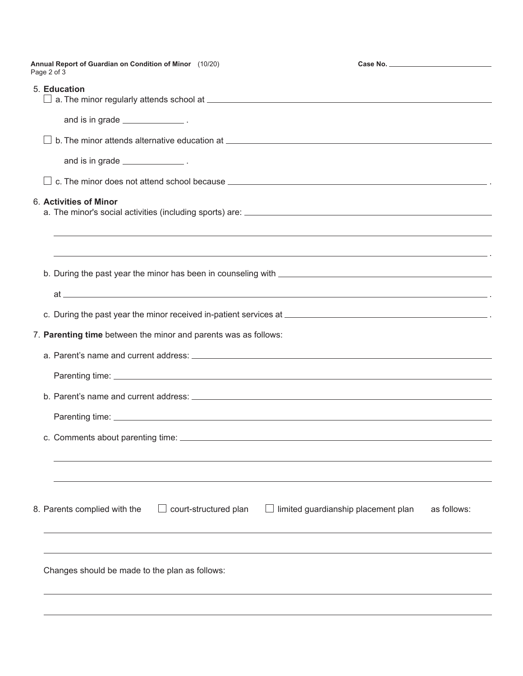|                                                                 | Annual Report of Guardian on Condition of Minor (10/20)                                                              |                                     |             |  |
|-----------------------------------------------------------------|----------------------------------------------------------------------------------------------------------------------|-------------------------------------|-------------|--|
|                                                                 | Page 2 of 3                                                                                                          |                                     |             |  |
|                                                                 | 5. Education                                                                                                         |                                     |             |  |
|                                                                 | and is in grade _______________.                                                                                     |                                     |             |  |
|                                                                 |                                                                                                                      |                                     |             |  |
|                                                                 |                                                                                                                      |                                     |             |  |
|                                                                 | and is in grade _________________.                                                                                   |                                     |             |  |
|                                                                 |                                                                                                                      |                                     |             |  |
|                                                                 | 6. Activities of Minor                                                                                               |                                     |             |  |
|                                                                 |                                                                                                                      |                                     |             |  |
|                                                                 | ,我们也不会有什么。""我们的人,我们也不会有什么?""我们的人,我们也不会有什么?""我们的人,我们也不会有什么?""我们的人,我们也不会有什么?""我们的人                                     |                                     |             |  |
|                                                                 | <u> 1989 - Andrea Santa Andrea Andrea Andrea Andrea Andrea Andrea Andrea Andrea Andrea Andrea Andrea Andrea Andr</u> |                                     |             |  |
|                                                                 |                                                                                                                      |                                     |             |  |
|                                                                 | $at$ $\overline{\phantom{a}}$                                                                                        |                                     |             |  |
|                                                                 |                                                                                                                      |                                     |             |  |
|                                                                 |                                                                                                                      |                                     |             |  |
| 7. Parenting time between the minor and parents was as follows: |                                                                                                                      |                                     |             |  |
|                                                                 |                                                                                                                      |                                     |             |  |
|                                                                 |                                                                                                                      |                                     |             |  |
|                                                                 |                                                                                                                      |                                     |             |  |
|                                                                 |                                                                                                                      |                                     |             |  |
|                                                                 |                                                                                                                      |                                     |             |  |
|                                                                 | c. Comments about parenting time:                                                                                    |                                     |             |  |
|                                                                 |                                                                                                                      |                                     |             |  |
|                                                                 |                                                                                                                      |                                     |             |  |
|                                                                 |                                                                                                                      |                                     |             |  |
|                                                                 | 8. Parents complied with the<br>court-structured plan                                                                | limited guardianship placement plan | as follows: |  |
|                                                                 |                                                                                                                      |                                     |             |  |
|                                                                 |                                                                                                                      |                                     |             |  |
|                                                                 | Changes should be made to the plan as follows:                                                                       |                                     |             |  |
|                                                                 |                                                                                                                      |                                     |             |  |
|                                                                 |                                                                                                                      |                                     |             |  |
|                                                                 |                                                                                                                      |                                     |             |  |